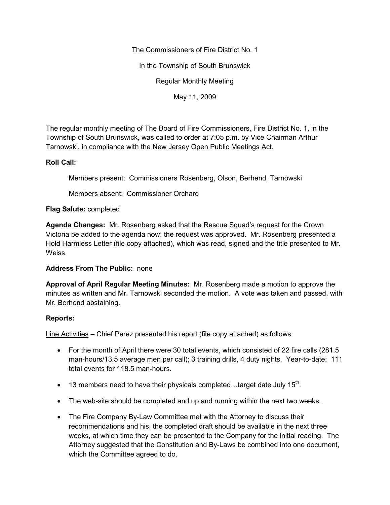The Commissioners of Fire District No. 1

In the Township of South Brunswick

Regular Monthly Meeting

May 11, 2009

The regular monthly meeting of The Board of Fire Commissioners, Fire District No. 1, in the Township of South Brunswick, was called to order at 7:05 p.m. by Vice Chairman Arthur Tarnowski, in compliance with the New Jersey Open Public Meetings Act.

# **Roll Call:**

Members present: Commissioners Rosenberg, Olson, Berhend, Tarnowski

Members absent: Commissioner Orchard

## **Flag Salute:** completed

**Agenda Changes:** Mr. Rosenberg asked that the Rescue Squad's request for the Crown Victoria be added to the agenda now; the request was approved. Mr. Rosenberg presented a Hold Harmless Letter (file copy attached), which was read, signed and the title presented to Mr. Weiss.

## **Address From The Public:** none

**Approval of April Regular Meeting Minutes:** Mr. Rosenberg made a motion to approve the minutes as written and Mr. Tarnowski seconded the motion. A vote was taken and passed, with Mr. Berhend abstaining.

## **Reports:**

Line Activities – Chief Perez presented his report (file copy attached) as follows:

- For the month of April there were 30 total events, which consisted of 22 fire calls (281.5) man-hours/13.5 average men per call); 3 training drills, 4 duty nights. Year-to-date: 111 total events for 118.5 man-hours.
- 13 members need to have their physicals completed...target date July 15<sup>th</sup>.
- The web-site should be completed and up and running within the next two weeks.
- The Fire Company By-Law Committee met with the Attorney to discuss their recommendations and his, the completed draft should be available in the next three weeks, at which time they can be presented to the Company for the initial reading. The Attorney suggested that the Constitution and By-Laws be combined into one document, which the Committee agreed to do.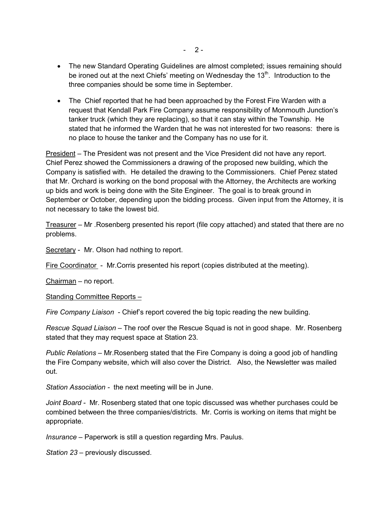- The new Standard Operating Guidelines are almost completed; issues remaining should be ironed out at the next Chiefs' meeting on Wednesday the 13<sup>th</sup>. Introduction to the three companies should be some time in September.
- The Chief reported that he had been approached by the Forest Fire Warden with a request that Kendall Park Fire Company assume responsibility of Monmouth Junction's tanker truck (which they are replacing), so that it can stay within the Township. He stated that he informed the Warden that he was not interested for two reasons: there is no place to house the tanker and the Company has no use for it.

President – The President was not present and the Vice President did not have any report. Chief Perez showed the Commissioners a drawing of the proposed new building, which the Company is satisfied with. He detailed the drawing to the Commissioners. Chief Perez stated that Mr. Orchard is working on the bond proposal with the Attorney, the Architects are working up bids and work is being done with the Site Engineer. The goal is to break ground in September or October, depending upon the bidding process. Given input from the Attorney, it is not necessary to take the lowest bid.

Treasurer – Mr .Rosenberg presented his report (file copy attached) and stated that there are no problems.

Secretary - Mr. Olson had nothing to report.

Fire Coordinator - Mr.Corris presented his report (copies distributed at the meeting).

Chairman – no report.

Standing Committee Reports *–*

*Fire Company Liaison* - Chief's report covered the big topic reading the new building.

*Rescue Squad Liaison –* The roof over the Rescue Squad is not in good shape. Mr. Rosenberg stated that they may request space at Station 23.

*Public Relations –* Mr.Rosenberg stated that the Fire Company is doing a good job of handling the Fire Company website, which will also cover the District. Also, the Newsletter was mailed out.

*Station Association -* the next meeting will be in June.

*Joint Board -* Mr. Rosenberg stated that one topic discussed was whether purchases could be combined between the three companies/districts. Mr. Corris is working on items that might be appropriate.

*Insurance –* Paperwork is still a question regarding Mrs. Paulus.

*Station 23 –* previously discussed.